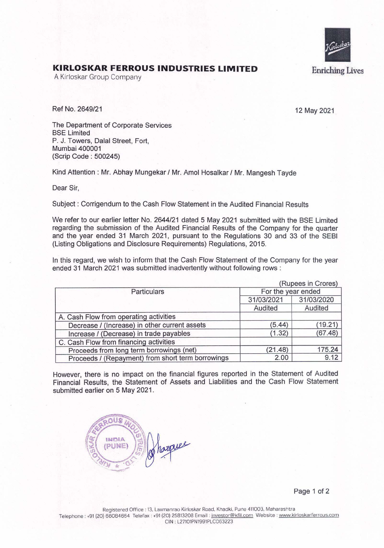

## **KIRLOSKAR FERROUS INDUSTRIES LIMITED**

A Kirloskar Group Company

Ref No. 2649/21 12 May 2021

The Department of Corporate Services BSE Limited P. J. Towers, Dalal Street, Fort, Mumbai 400001 (Scrip Code : 500245)

Kind Attention : Mr. Abhay Mungekar / Mr. Amol Hosalkar / Mr. Mangesh Tayde

Dear Sir,

Subject : Corrigendum to the Cash Flow Statement in the Audited Financial Results

We refer to our earlier letter No. 2644/21 dated 5 May 2021 submitted with the BSE Limited regarding the submission of the Audited Financial Results of the Company for the quarter and the year ended 31 March 2021 , pursuant to the Regulations 30 and 33 of the SEBI (Listing Obligations and Disclosure Requirements) Regulations, 2015.

In this regard, we wish to inform that the Cash Flow Statement of the Company for the year ended 31 March 2021 was submitted inadvertently without following rows :

|                                                   |                    | (Rupees in Crores) |
|---------------------------------------------------|--------------------|--------------------|
| Particulars                                       | For the year ended |                    |
|                                                   | 31/03/2021         | 31/03/2020         |
|                                                   | Audited            | Audited            |
| A. Cash Flow from operating activities            |                    |                    |
| Decrease / (Increase) in other current assets     | (5.44)             | (19.21)            |
| Increase / (Decrease) in trade payables           | (1.32)             | (67.48)            |
| C. Cash Flow from financing activities            |                    |                    |
| Proceeds from long term borrowings (net)          | (21.48)            | 175.24             |
| Proceeds / (Repayment) from short term borrowings | 2.00               | 9.12               |

However, there is no impact on the financial figures reported in the Statement of Audited Financial Results, the Statement of Assets and Liabilities and the Cash Flow Statement submitted earlier on 5 May 2021.



Page 1 of 2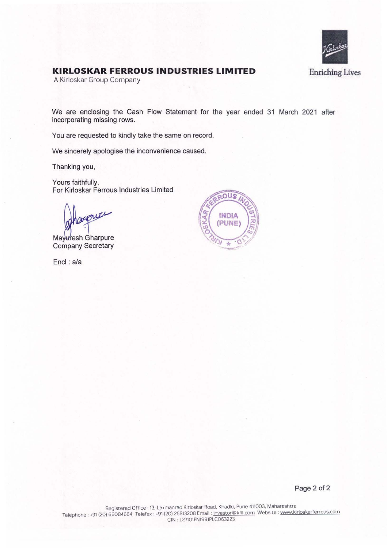

## **KIRLOSKAR FERROUS INDUSTRIES LIMITED**

A Kirloskar Group Company

We are enclosing the Cash Flow Statement for the year ended 31 March 2021 after incorporating missing rows.

You are requested to kindly take the same on record.

We sincerely apologise the inconvenience caused.

Thanking you,

Yours faithfully, For Kirloskar Ferrous Industries Limited

Mayuresh Gharpure Company Secretary

Encl : a/a

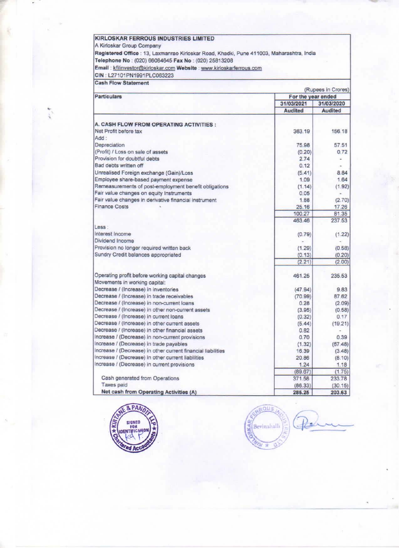| A Kirloskar Group Company                                                                 |                  |                                                                                                                                                                                                                                                                                                                                                                                                                                                                            |  |
|-------------------------------------------------------------------------------------------|------------------|----------------------------------------------------------------------------------------------------------------------------------------------------------------------------------------------------------------------------------------------------------------------------------------------------------------------------------------------------------------------------------------------------------------------------------------------------------------------------|--|
| Registered Office : 13, Laxmanrao Kirloskar Road, Khadki, Pune 411003, Maharashtra, India |                  |                                                                                                                                                                                                                                                                                                                                                                                                                                                                            |  |
| Telephone No: (020) 66084645 Fax No: (020) 25813208                                       |                  |                                                                                                                                                                                                                                                                                                                                                                                                                                                                            |  |
| Email: kfilinvestor@kirloskar.com Website: www.kirloskarferrous.com                       |                  |                                                                                                                                                                                                                                                                                                                                                                                                                                                                            |  |
| CIN: L27101PN1991PLC063223                                                                |                  |                                                                                                                                                                                                                                                                                                                                                                                                                                                                            |  |
| <b>Cash Flow Statement</b>                                                                |                  |                                                                                                                                                                                                                                                                                                                                                                                                                                                                            |  |
|                                                                                           |                  | (Rupees in Crores)                                                                                                                                                                                                                                                                                                                                                                                                                                                         |  |
| <b>Particulars</b>                                                                        |                  | For the year ended                                                                                                                                                                                                                                                                                                                                                                                                                                                         |  |
|                                                                                           | 31/03/2021       | 31/03/2020                                                                                                                                                                                                                                                                                                                                                                                                                                                                 |  |
|                                                                                           | <b>Audited</b>   | <b>Audited</b>                                                                                                                                                                                                                                                                                                                                                                                                                                                             |  |
| A. CASH FLOW FROM OPERATING ACTIVITIES :                                                  |                  |                                                                                                                                                                                                                                                                                                                                                                                                                                                                            |  |
| Net Profit before tax                                                                     | 363.19           | 156.18                                                                                                                                                                                                                                                                                                                                                                                                                                                                     |  |
| Add:                                                                                      |                  |                                                                                                                                                                                                                                                                                                                                                                                                                                                                            |  |
| Depreciation                                                                              | 75.98            | 57.51                                                                                                                                                                                                                                                                                                                                                                                                                                                                      |  |
| (Profit) / Loss on sale of assets                                                         | (0.20)           | 0.72                                                                                                                                                                                                                                                                                                                                                                                                                                                                       |  |
| Provision for doubtful debts                                                              | 2.74             | $\frac{1}{2} \left( \frac{1}{2} \right) \left( \frac{1}{2} \right) \left( \frac{1}{2} \right) \left( \frac{1}{2} \right) \left( \frac{1}{2} \right) \left( \frac{1}{2} \right) \left( \frac{1}{2} \right) \left( \frac{1}{2} \right) \left( \frac{1}{2} \right) \left( \frac{1}{2} \right) \left( \frac{1}{2} \right) \left( \frac{1}{2} \right) \left( \frac{1}{2} \right) \left( \frac{1}{2} \right) \left( \frac{1}{2} \right) \left( \frac{1}{2} \right) \left( \frac$ |  |
| Bad debts written off                                                                     | 0.12             | ۰                                                                                                                                                                                                                                                                                                                                                                                                                                                                          |  |
| Unrealised Foreign exchange (Gain)/Loss                                                   | (5.41)           | 8.84                                                                                                                                                                                                                                                                                                                                                                                                                                                                       |  |
| Employee share-based payment expense                                                      | 1.09             | 1.64                                                                                                                                                                                                                                                                                                                                                                                                                                                                       |  |
| Remeasurements of post-employment benefit obligations                                     | (1.14)           | (1.92)                                                                                                                                                                                                                                                                                                                                                                                                                                                                     |  |
| Fair value changes on equity Instruments                                                  | 0.05             |                                                                                                                                                                                                                                                                                                                                                                                                                                                                            |  |
| Fair value changes in derivative financial instrument                                     | 1.88             | (2.70)                                                                                                                                                                                                                                                                                                                                                                                                                                                                     |  |
| <b>Finance Costs</b>                                                                      | 25.16            | 17.26                                                                                                                                                                                                                                                                                                                                                                                                                                                                      |  |
|                                                                                           |                  | 81.35                                                                                                                                                                                                                                                                                                                                                                                                                                                                      |  |
|                                                                                           | 100.27<br>463.46 |                                                                                                                                                                                                                                                                                                                                                                                                                                                                            |  |
| Less :                                                                                    |                  | 237.53                                                                                                                                                                                                                                                                                                                                                                                                                                                                     |  |
| Interest Income                                                                           |                  |                                                                                                                                                                                                                                                                                                                                                                                                                                                                            |  |
| Dividend Income                                                                           | (0.79)           | (1.22)                                                                                                                                                                                                                                                                                                                                                                                                                                                                     |  |
|                                                                                           |                  |                                                                                                                                                                                                                                                                                                                                                                                                                                                                            |  |
| Provision no longer required written back                                                 | (1.29)           | (0.58)                                                                                                                                                                                                                                                                                                                                                                                                                                                                     |  |
| Sundry Credit balances appropriated                                                       | (0.13)           | (0.20)                                                                                                                                                                                                                                                                                                                                                                                                                                                                     |  |
|                                                                                           | (2.21)           | (2.00)                                                                                                                                                                                                                                                                                                                                                                                                                                                                     |  |
| Operating profit before working capital changes                                           | 461.25           | 235.53                                                                                                                                                                                                                                                                                                                                                                                                                                                                     |  |
| Movements in working capital:                                                             |                  |                                                                                                                                                                                                                                                                                                                                                                                                                                                                            |  |
| Decrease / (Increase) in inventories                                                      | (47.94)          | 9.83                                                                                                                                                                                                                                                                                                                                                                                                                                                                       |  |
| Decrease / (Increase) in trade receivables                                                | (70.99)          | 87.62                                                                                                                                                                                                                                                                                                                                                                                                                                                                      |  |
| Decrease / (Increase) in non-current loans                                                | 0.28             | (2.09)                                                                                                                                                                                                                                                                                                                                                                                                                                                                     |  |
| Decrease / (Increase) in other non-current assets                                         | (3.95)           | (0.58)                                                                                                                                                                                                                                                                                                                                                                                                                                                                     |  |
| Decrease / (Increase) in current loans                                                    | (0.32)           | 0.17                                                                                                                                                                                                                                                                                                                                                                                                                                                                       |  |
| Decrease / (Increase) in other current assets                                             | (5.44)           | (19.21)                                                                                                                                                                                                                                                                                                                                                                                                                                                                    |  |
| Decrease / (Increase) in other financial assets                                           | 0.82             |                                                                                                                                                                                                                                                                                                                                                                                                                                                                            |  |
| Increase / (Decrease) in non-current provisions                                           |                  | 0.39                                                                                                                                                                                                                                                                                                                                                                                                                                                                       |  |
| Increase / (Decrease) in trade payables                                                   | 0.70             | (67.48)                                                                                                                                                                                                                                                                                                                                                                                                                                                                    |  |
| Increase / (Decrease) in other current financial liabilities                              | (1.32)<br>16.39  | (3.48)                                                                                                                                                                                                                                                                                                                                                                                                                                                                     |  |
| Increase / (Decrease) in other current liabilities                                        | 20.86            | (8.10)                                                                                                                                                                                                                                                                                                                                                                                                                                                                     |  |
|                                                                                           |                  |                                                                                                                                                                                                                                                                                                                                                                                                                                                                            |  |
| Increase / (Decrease) in current provisions                                               | 1.24             | 1.18                                                                                                                                                                                                                                                                                                                                                                                                                                                                       |  |
|                                                                                           | (89.67)          | (1.75)                                                                                                                                                                                                                                                                                                                                                                                                                                                                     |  |
| Cash generated from Operations                                                            | 371.58           | 233.78                                                                                                                                                                                                                                                                                                                                                                                                                                                                     |  |
| <b>Taxes paid</b>                                                                         | (86.33)          | (30.15)                                                                                                                                                                                                                                                                                                                                                                                                                                                                    |  |
| Net cash from Operating Activities (A)                                                    | 285.25           | 203.63                                                                                                                                                                                                                                                                                                                                                                                                                                                                     |  |



**KIRLOSKAR FERROUS INDUSTRIES LIMITED** 

**ROUS**  $\mathbb{R}$ I. Garne  $-$